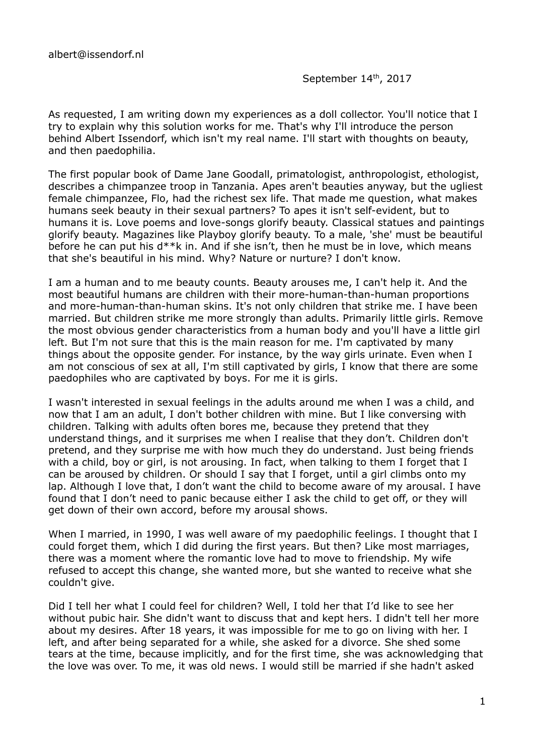September 14<sup>th</sup>, 2017

As requested, I am writing down my experiences as a doll collector. You'll notice that I try to explain why this solution works for me. That's why I'll introduce the person behind Albert Issendorf, which isn't my real name. I'll start with thoughts on beauty, and then paedophilia.

The first popular book of Dame Jane Goodall, primatologist, anthropologist, ethologist, describes a chimpanzee troop in Tanzania. Apes aren't beauties anyway, but the ugliest female chimpanzee, Flo, had the richest sex life. That made me question, what makes humans seek beauty in their sexual partners? To apes it isn't self-evident, but to humans it is. Love poems and love-songs glorify beauty. Classical statues and paintings glorify beauty. Magazines like Playboy glorify beauty. To a male, 'she' must be beautiful before he can put his d\*\*k in. And if she isn't, then he must be in love, which means that she's beautiful in his mind. Why? Nature or nurture? I don't know.

I am a human and to me beauty counts. Beauty arouses me, I can't help it. And the most beautiful humans are children with their more-human-than-human proportions and more-human-than-human skins. It's not only children that strike me. I have been married. But children strike me more strongly than adults. Primarily little girls. Remove the most obvious gender characteristics from a human body and you'll have a little girl left. But I'm not sure that this is the main reason for me. I'm captivated by many things about the opposite gender. For instance, by the way girls urinate. Even when I am not conscious of sex at all, I'm still captivated by girls, I know that there are some paedophiles who are captivated by boys. For me it is girls.

I wasn't interested in sexual feelings in the adults around me when I was a child, and now that I am an adult, I don't bother children with mine. But I like conversing with children. Talking with adults often bores me, because they pretend that they understand things, and it surprises me when I realise that they don't. Children don't pretend, and they surprise me with how much they do understand. Just being friends with a child, boy or girl, is not arousing. In fact, when talking to them I forget that I can be aroused by children. Or should I say that I forget, until a girl climbs onto my lap. Although I love that, I don't want the child to become aware of my arousal. I have found that I don't need to panic because either I ask the child to get off, or they will get down of their own accord, before my arousal shows.

When I married, in 1990, I was well aware of my paedophilic feelings. I thought that I could forget them, which I did during the first years. But then? Like most marriages, there was a moment where the romantic love had to move to friendship. My wife refused to accept this change, she wanted more, but she wanted to receive what she couldn't give.

Did I tell her what I could feel for children? Well, I told her that I'd like to see her without pubic hair. She didn't want to discuss that and kept hers. I didn't tell her more about my desires. After 18 years, it was impossible for me to go on living with her. I left, and after being separated for a while, she asked for a divorce. She shed some tears at the time, because implicitly, and for the first time, she was acknowledging that the love was over. To me, it was old news. I would still be married if she hadn't asked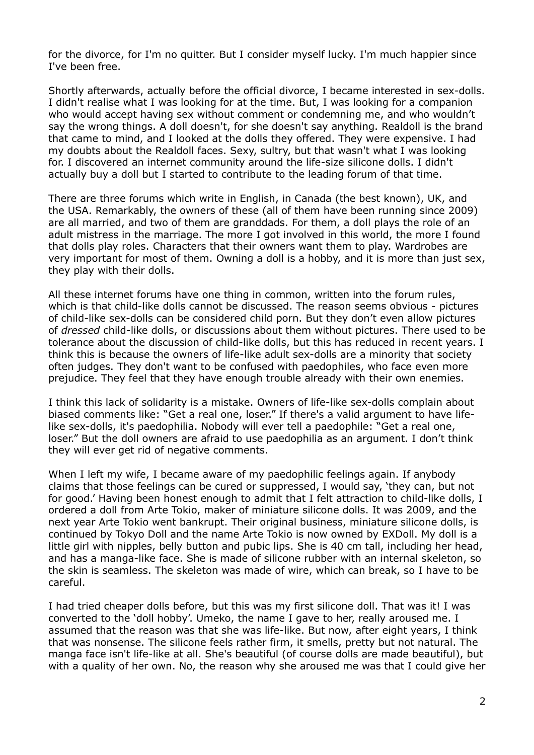for the divorce, for I'm no quitter. But I consider myself lucky. I'm much happier since I've been free.

Shortly afterwards, actually before the official divorce, I became interested in sex-dolls. I didn't realise what I was looking for at the time. But, I was looking for a companion who would accept having sex without comment or condemning me, and who wouldn't say the wrong things. A doll doesn't, for she doesn't say anything. Realdoll is the brand that came to mind, and I looked at the dolls they offered. They were expensive. I had my doubts about the Realdoll faces. Sexy, sultry, but that wasn't what I was looking for. I discovered an internet community around the life-size silicone dolls. I didn't actually buy a doll but I started to contribute to the leading forum of that time.

There are three forums which write in English, in Canada (the best known), UK, and the USA. Remarkably, the owners of these (all of them have been running since 2009) are all married, and two of them are granddads. For them, a doll plays the role of an adult mistress in the marriage. The more I got involved in this world, the more I found that dolls play roles. Characters that their owners want them to play. Wardrobes are very important for most of them. Owning a doll is a hobby, and it is more than just sex, they play with their dolls.

All these internet forums have one thing in common, written into the forum rules, which is that child-like dolls cannot be discussed. The reason seems obvious - pictures of child-like sex-dolls can be considered child porn. But they don't even allow pictures of *dressed* child-like dolls, or discussions about them without pictures. There used to be tolerance about the discussion of child-like dolls, but this has reduced in recent years. I think this is because the owners of life-like adult sex-dolls are a minority that society often judges. They don't want to be confused with paedophiles, who face even more prejudice. They feel that they have enough trouble already with their own enemies.

I think this lack of solidarity is a mistake. Owners of life-like sex-dolls complain about biased comments like: "Get a real one, loser." If there's a valid argument to have lifelike sex-dolls, it's paedophilia. Nobody will ever tell a paedophile: "Get a real one, loser." But the doll owners are afraid to use paedophilia as an argument. I don't think they will ever get rid of negative comments.

When I left my wife, I became aware of my paedophilic feelings again. If anybody claims that those feelings can be cured or suppressed, I would say, 'they can, but not for good.' Having been honest enough to admit that I felt attraction to child-like dolls, I ordered a doll from Arte Tokio, maker of miniature silicone dolls. It was 2009, and the next year Arte Tokio went bankrupt. Their original business, miniature silicone dolls, is continued by Tokyo Doll and the name Arte Tokio is now owned by EXDoll. My doll is a little girl with nipples, belly button and pubic lips. She is 40 cm tall, including her head, and has a manga-like face. She is made of silicone rubber with an internal skeleton, so the skin is seamless. The skeleton was made of wire, which can break, so I have to be careful.

I had tried cheaper dolls before, but this was my first silicone doll. That was it! I was converted to the 'doll hobby'. Umeko, the name I gave to her, really aroused me. I assumed that the reason was that she was life-like. But now, after eight years, I think that was nonsense. The silicone feels rather firm, it smells, pretty but not natural. The manga face isn't life-like at all. She's beautiful (of course dolls are made beautiful), but with a quality of her own. No, the reason why she aroused me was that I could give her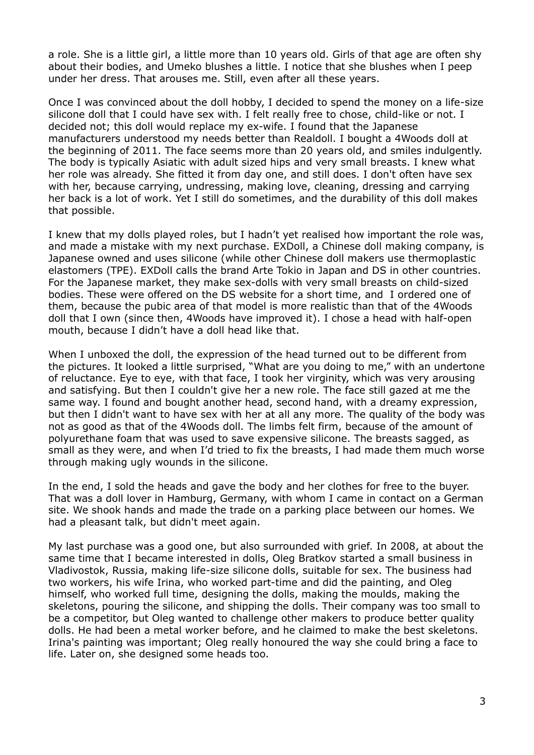a role. She is a little girl, a little more than 10 years old. Girls of that age are often shy about their bodies, and Umeko blushes a little. I notice that she blushes when I peep under her dress. That arouses me. Still, even after all these years.

Once I was convinced about the doll hobby, I decided to spend the money on a life-size silicone doll that I could have sex with. I felt really free to chose, child-like or not. I decided not; this doll would replace my ex-wife. I found that the Japanese manufacturers understood my needs better than Realdoll. I bought a 4Woods doll at the beginning of 2011. The face seems more than 20 years old, and smiles indulgently. The body is typically Asiatic with adult sized hips and very small breasts. I knew what her role was already. She fitted it from day one, and still does. I don't often have sex with her, because carrying, undressing, making love, cleaning, dressing and carrying her back is a lot of work. Yet I still do sometimes, and the durability of this doll makes that possible.

I knew that my dolls played roles, but I hadn't yet realised how important the role was, and made a mistake with my next purchase. EXDoll, a Chinese doll making company, is Japanese owned and uses silicone (while other Chinese doll makers use thermoplastic elastomers (TPE). EXDoll calls the brand Arte Tokio in Japan and DS in other countries. For the Japanese market, they make sex-dolls with very small breasts on child-sized bodies. These were offered on the DS website for a short time, and I ordered one of them, because the pubic area of that model is more realistic than that of the 4Woods doll that I own (since then, 4Woods have improved it). I chose a head with half-open mouth, because I didn't have a doll head like that.

When I unboxed the doll, the expression of the head turned out to be different from the pictures. It looked a little surprised, "What are you doing to me," with an undertone of reluctance. Eye to eye, with that face, I took her virginity, which was very arousing and satisfying. But then I couldn't give her a new role. The face still gazed at me the same way. I found and bought another head, second hand, with a dreamy expression, but then I didn't want to have sex with her at all any more. The quality of the body was not as good as that of the 4Woods doll. The limbs felt firm, because of the amount of polyurethane foam that was used to save expensive silicone. The breasts sagged, as small as they were, and when I'd tried to fix the breasts, I had made them much worse through making ugly wounds in the silicone.

In the end, I sold the heads and gave the body and her clothes for free to the buyer. That was a doll lover in Hamburg, Germany, with whom I came in contact on a German site. We shook hands and made the trade on a parking place between our homes. We had a pleasant talk, but didn't meet again.

My last purchase was a good one, but also surrounded with grief. In 2008, at about the same time that I became interested in dolls, Oleg Bratkov started a small business in Vladivostok, Russia, making life-size silicone dolls, suitable for sex. The business had two workers, his wife Irina, who worked part-time and did the painting, and Oleg himself, who worked full time, designing the dolls, making the moulds, making the skeletons, pouring the silicone, and shipping the dolls. Their company was too small to be a competitor, but Oleg wanted to challenge other makers to produce better quality dolls. He had been a metal worker before, and he claimed to make the best skeletons. Irina's painting was important; Oleg really honoured the way she could bring a face to life. Later on, she designed some heads too.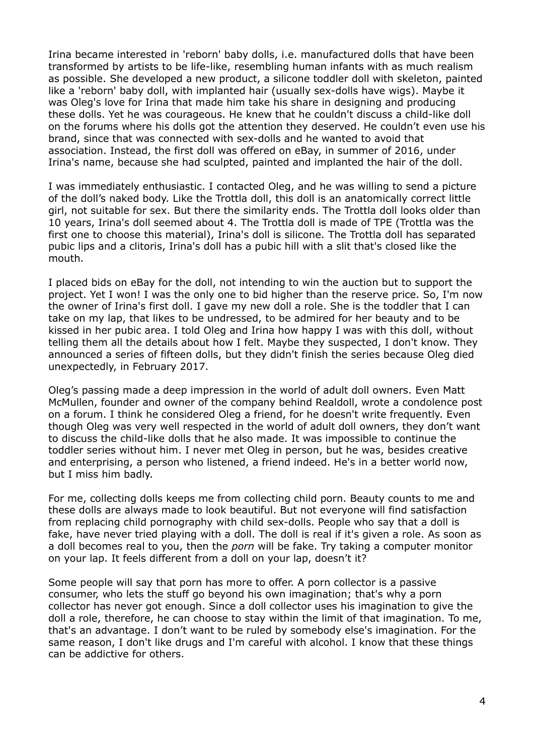Irina became interested in 'reborn' baby dolls, i.e. manufactured dolls that have been transformed by artists to be life-like, resembling human infants with as much realism as possible. She developed a new product, a silicone toddler doll with skeleton, painted like a 'reborn' baby doll, with implanted hair (usually sex-dolls have wigs). Maybe it was Oleg's love for Irina that made him take his share in designing and producing these dolls. Yet he was courageous. He knew that he couldn't discuss a child-like doll on the forums where his dolls got the attention they deserved. He couldn't even use his brand, since that was connected with sex-dolls and he wanted to avoid that association. Instead, the first doll was offered on eBay, in summer of 2016, under Irina's name, because she had sculpted, painted and implanted the hair of the doll.

I was immediately enthusiastic. I contacted Oleg, and he was willing to send a picture of the doll's naked body. Like the Trottla doll, this doll is an anatomically correct little girl, not suitable for sex. But there the similarity ends. The Trottla doll looks older than 10 years, Irina's doll seemed about 4. The Trottla doll is made of TPE (Trottla was the first one to choose this material), Irina's doll is silicone. The Trottla doll has separated pubic lips and a clitoris, Irina's doll has a pubic hill with a slit that's closed like the mouth.

I placed bids on eBay for the doll, not intending to win the auction but to support the project. Yet I won! I was the only one to bid higher than the reserve price. So, I'm now the owner of Irina's first doll. I gave my new doll a role. She is the toddler that I can take on my lap, that likes to be undressed, to be admired for her beauty and to be kissed in her pubic area. I told Oleg and Irina how happy I was with this doll, without telling them all the details about how I felt. Maybe they suspected, I don't know. They announced a series of fifteen dolls, but they didn't finish the series because Oleg died unexpectedly, in February 2017.

Oleg's passing made a deep impression in the world of adult doll owners. Even Matt McMullen, founder and owner of the company behind Realdoll, wrote a condolence post on a forum. I think he considered Oleg a friend, for he doesn't write frequently. Even though Oleg was very well respected in the world of adult doll owners, they don't want to discuss the child-like dolls that he also made. It was impossible to continue the toddler series without him. I never met Oleg in person, but he was, besides creative and enterprising, a person who listened, a friend indeed. He's in a better world now, but I miss him badly.

For me, collecting dolls keeps me from collecting child porn. Beauty counts to me and these dolls are always made to look beautiful. But not everyone will find satisfaction from replacing child pornography with child sex-dolls. People who say that a doll is fake, have never tried playing with a doll. The doll is real if it's given a role. As soon as a doll becomes real to you, then the *porn* will be fake. Try taking a computer monitor on your lap. It feels different from a doll on your lap, doesn't it?

Some people will say that porn has more to offer. A porn collector is a passive consumer, who lets the stuff go beyond his own imagination; that's why a porn collector has never got enough. Since a doll collector uses his imagination to give the doll a role, therefore, he can choose to stay within the limit of that imagination. To me, that's an advantage. I don't want to be ruled by somebody else's imagination. For the same reason, I don't like drugs and I'm careful with alcohol. I know that these things can be addictive for others.